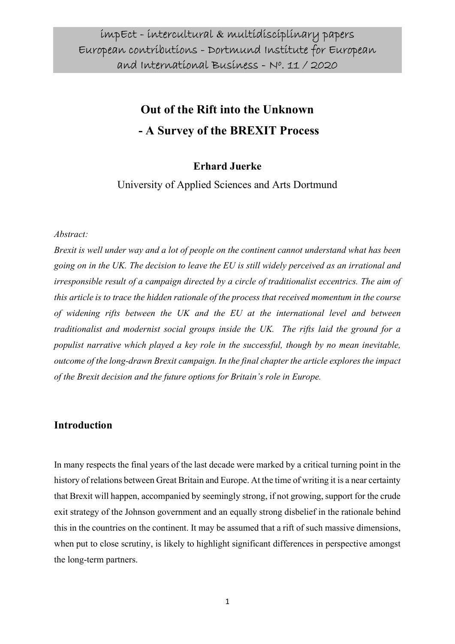# Out of the Rift into the Unknown - A Survey of the BREXIT Process

#### Erhard Juerke

University of Applied Sciences and Arts Dortmund

#### Abstract:

Brexit is well under way and a lot of people on the continent cannot understand what has been going on in the UK. The decision to leave the EU is still widely perceived as an irrational and irresponsible result of a campaign directed by a circle of traditionalist eccentrics. The aim of this article is to trace the hidden rationale of the process that received momentum in the course of widening rifts between the UK and the EU at the international level and between traditionalist and modernist social groups inside the UK. The rifts laid the ground for a populist narrative which played a key role in the successful, though by no mean inevitable, outcome of the long-drawn Brexit campaign. In the final chapter the article explores the impact of the Brexit decision and the future options for Britain's role in Europe.

#### Introduction

In many respects the final years of the last decade were marked by a critical turning point in the history of relations between Great Britain and Europe. At the time of writing it is a near certainty that Brexit will happen, accompanied by seemingly strong, if not growing, support for the crude exit strategy of the Johnson government and an equally strong disbelief in the rationale behind this in the countries on the continent. It may be assumed that a rift of such massive dimensions, when put to close scrutiny, is likely to highlight significant differences in perspective amongst the long-term partners.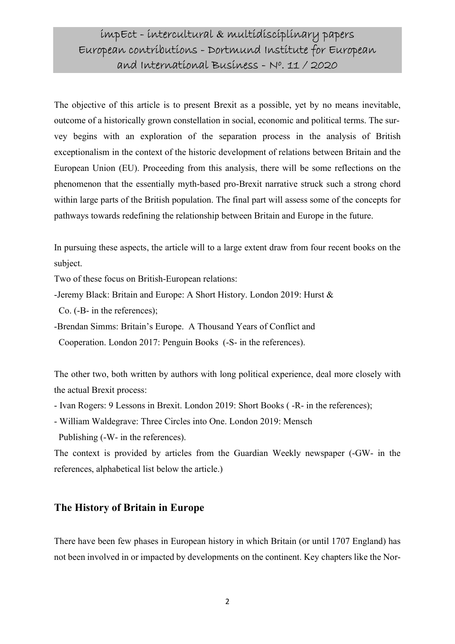The objective of this article is to present Brexit as a possible, yet by no means inevitable, outcome of a historically grown constellation in social, economic and political terms. The survey begins with an exploration of the separation process in the analysis of British exceptionalism in the context of the historic development of relations between Britain and the European Union (EU). Proceeding from this analysis, there will be some reflections on the phenomenon that the essentially myth-based pro-Brexit narrative struck such a strong chord within large parts of the British population. The final part will assess some of the concepts for pathways towards redefining the relationship between Britain and Europe in the future.

In pursuing these aspects, the article will to a large extent draw from four recent books on the subject.

Two of these focus on British-European relations:

- -Jeremy Black: Britain and Europe: A Short History. London 2019: Hurst &
- Co. (-B- in the references);
- -Brendan Simms: Britain's Europe. A Thousand Years of Conflict and
- Cooperation. London 2017: Penguin Books (-S- in the references).

The other two, both written by authors with long political experience, deal more closely with the actual Brexit process:

- Ivan Rogers: 9 Lessons in Brexit. London 2019: Short Books ( -R- in the references);
- William Waldegrave: Three Circles into One. London 2019: Mensch
- Publishing (-W- in the references).

The context is provided by articles from the Guardian Weekly newspaper (-GW- in the references, alphabetical list below the article.)

#### The History of Britain in Europe

There have been few phases in European history in which Britain (or until 1707 England) has not been involved in or impacted by developments on the continent. Key chapters like the Nor-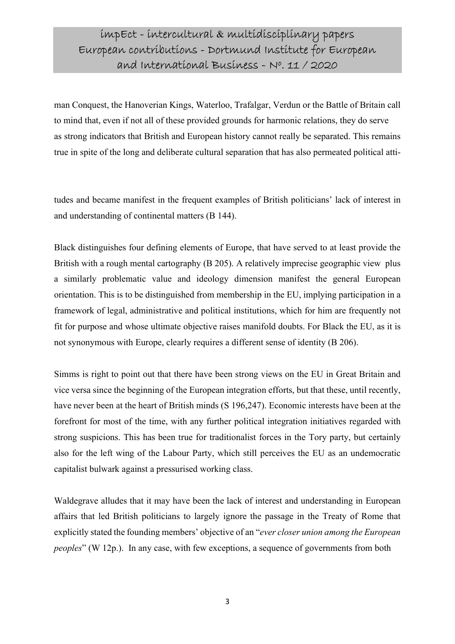man Conquest, the Hanoverian Kings, Waterloo, Trafalgar, Verdun or the Battle of Britain call to mind that, even if not all of these provided grounds for harmonic relations, they do serve as strong indicators that British and European history cannot really be separated. This remains true in spite of the long and deliberate cultural separation that has also permeated political atti-

tudes and became manifest in the frequent examples of British politicians' lack of interest in and understanding of continental matters (B 144).

Black distinguishes four defining elements of Europe, that have served to at least provide the British with a rough mental cartography (B 205). A relatively imprecise geographic view plus a similarly problematic value and ideology dimension manifest the general European orientation. This is to be distinguished from membership in the EU, implying participation in a framework of legal, administrative and political institutions, which for him are frequently not fit for purpose and whose ultimate objective raises manifold doubts. For Black the EU, as it is not synonymous with Europe, clearly requires a different sense of identity (B 206).

Simms is right to point out that there have been strong views on the EU in Great Britain and vice versa since the beginning of the European integration efforts, but that these, until recently, have never been at the heart of British minds (S 196,247). Economic interests have been at the forefront for most of the time, with any further political integration initiatives regarded with strong suspicions. This has been true for traditionalist forces in the Tory party, but certainly also for the left wing of the Labour Party, which still perceives the EU as an undemocratic capitalist bulwark against a pressurised working class.

Waldegrave alludes that it may have been the lack of interest and understanding in European affairs that led British politicians to largely ignore the passage in the Treaty of Rome that explicitly stated the founding members' objective of an "ever closer union among the European peoples" (W 12p.). In any case, with few exceptions, a sequence of governments from both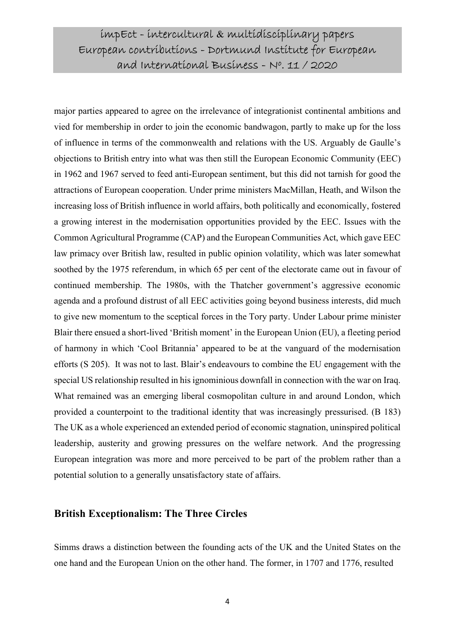major parties appeared to agree on the irrelevance of integrationist continental ambitions and vied for membership in order to join the economic bandwagon, partly to make up for the loss of influence in terms of the commonwealth and relations with the US. Arguably de Gaulle's objections to British entry into what was then still the European Economic Community (EEC) in 1962 and 1967 served to feed anti-European sentiment, but this did not tarnish for good the attractions of European cooperation. Under prime ministers MacMillan, Heath, and Wilson the increasing loss of British influence in world affairs, both politically and economically, fostered a growing interest in the modernisation opportunities provided by the EEC. Issues with the Common Agricultural Programme (CAP) and the European Communities Act, which gave EEC law primacy over British law, resulted in public opinion volatility, which was later somewhat soothed by the 1975 referendum, in which 65 per cent of the electorate came out in favour of continued membership. The 1980s, with the Thatcher government's aggressive economic agenda and a profound distrust of all EEC activities going beyond business interests, did much to give new momentum to the sceptical forces in the Tory party. Under Labour prime minister Blair there ensued a short-lived 'British moment' in the European Union (EU), a fleeting period of harmony in which 'Cool Britannia' appeared to be at the vanguard of the modernisation efforts (S 205). It was not to last. Blair's endeavours to combine the EU engagement with the special US relationship resulted in his ignominious downfall in connection with the war on Iraq. What remained was an emerging liberal cosmopolitan culture in and around London, which provided a counterpoint to the traditional identity that was increasingly pressurised. (B 183) The UK as a whole experienced an extended period of economic stagnation, uninspired political leadership, austerity and growing pressures on the welfare network. And the progressing European integration was more and more perceived to be part of the problem rather than a potential solution to a generally unsatisfactory state of affairs.

#### British Exceptionalism: The Three Circles

Simms draws a distinction between the founding acts of the UK and the United States on the one hand and the European Union on the other hand. The former, in 1707 and 1776, resulted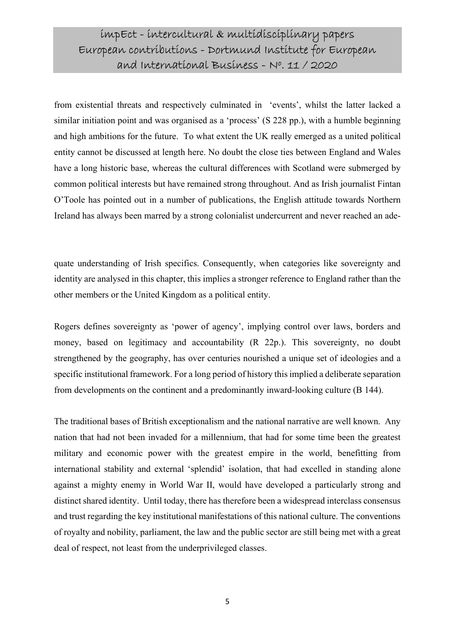from existential threats and respectively culminated in 'events', whilst the latter lacked a similar initiation point and was organised as a 'process' (S 228 pp.), with a humble beginning and high ambitions for the future. To what extent the UK really emerged as a united political entity cannot be discussed at length here. No doubt the close ties between England and Wales have a long historic base, whereas the cultural differences with Scotland were submerged by common political interests but have remained strong throughout. And as Irish journalist Fintan O'Toole has pointed out in a number of publications, the English attitude towards Northern Ireland has always been marred by a strong colonialist undercurrent and never reached an ade-

quate understanding of Irish specifics. Consequently, when categories like sovereignty and identity are analysed in this chapter, this implies a stronger reference to England rather than the other members or the United Kingdom as a political entity.

Rogers defines sovereignty as 'power of agency', implying control over laws, borders and money, based on legitimacy and accountability (R 22p.). This sovereignty, no doubt strengthened by the geography, has over centuries nourished a unique set of ideologies and a specific institutional framework. For a long period of history this implied a deliberate separation from developments on the continent and a predominantly inward-looking culture (B 144).

The traditional bases of British exceptionalism and the national narrative are well known. Any nation that had not been invaded for a millennium, that had for some time been the greatest military and economic power with the greatest empire in the world, benefitting from international stability and external 'splendid' isolation, that had excelled in standing alone against a mighty enemy in World War II, would have developed a particularly strong and distinct shared identity. Until today, there has therefore been a widespread interclass consensus and trust regarding the key institutional manifestations of this national culture. The conventions of royalty and nobility, parliament, the law and the public sector are still being met with a great deal of respect, not least from the underprivileged classes.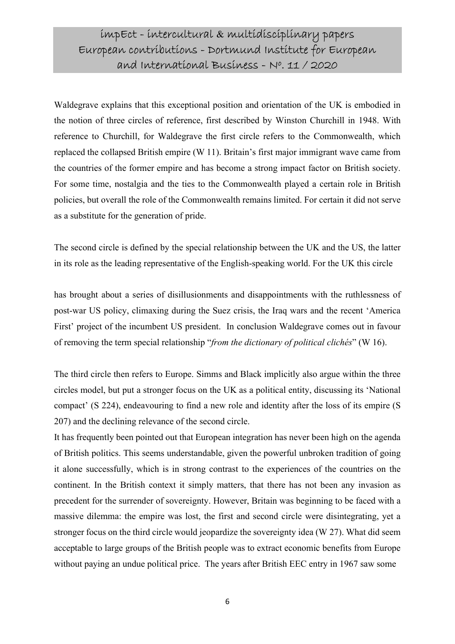Waldegrave explains that this exceptional position and orientation of the UK is embodied in the notion of three circles of reference, first described by Winston Churchill in 1948. With reference to Churchill, for Waldegrave the first circle refers to the Commonwealth, which replaced the collapsed British empire (W 11). Britain's first major immigrant wave came from the countries of the former empire and has become a strong impact factor on British society. For some time, nostalgia and the ties to the Commonwealth played a certain role in British policies, but overall the role of the Commonwealth remains limited. For certain it did not serve as a substitute for the generation of pride.

The second circle is defined by the special relationship between the UK and the US, the latter in its role as the leading representative of the English-speaking world. For the UK this circle

has brought about a series of disillusionments and disappointments with the ruthlessness of post-war US policy, climaxing during the Suez crisis, the Iraq wars and the recent 'America First' project of the incumbent US president. In conclusion Waldegrave comes out in favour of removing the term special relationship "from the dictionary of political clichés" (W 16).

The third circle then refers to Europe. Simms and Black implicitly also argue within the three circles model, but put a stronger focus on the UK as a political entity, discussing its 'National compact' (S 224), endeavouring to find a new role and identity after the loss of its empire (S 207) and the declining relevance of the second circle.

It has frequently been pointed out that European integration has never been high on the agenda of British politics. This seems understandable, given the powerful unbroken tradition of going it alone successfully, which is in strong contrast to the experiences of the countries on the continent. In the British context it simply matters, that there has not been any invasion as precedent for the surrender of sovereignty. However, Britain was beginning to be faced with a massive dilemma: the empire was lost, the first and second circle were disintegrating, yet a stronger focus on the third circle would jeopardize the sovereignty idea (W 27). What did seem acceptable to large groups of the British people was to extract economic benefits from Europe without paying an undue political price. The years after British EEC entry in 1967 saw some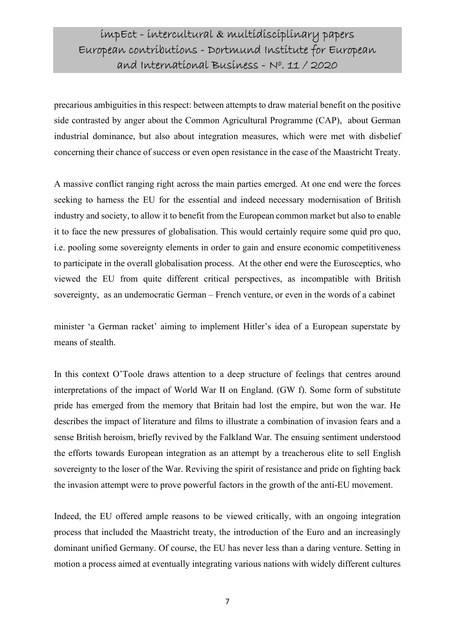precarious ambiguities in this respect: between attempts to draw material benefit on the positive side contrasted by anger about the Common Agricultural Programme (CAP), about German industrial dominance, but also about integration measures, which were met with disbelief concerning their chance of success or even open resistance in the case of the Maastricht Treaty.

A massive conflict ranging right across the main parties emerged. At one end were the forces seeking to harness the EU for the essential and indeed necessary modernisation of British industry and society, to allow it to benefit from the European common market but also to enable it to face the new pressures of globalisation. This would certainly require some quid pro quo, i.e. pooling some sovereignty elements in order to gain and ensure economic competitiveness to participate in the overall globalisation process. At the other end were the Eurosceptics, who viewed the EU from quite different critical perspectives, as incompatible with British sovereignty, as an undemocratic German – French venture, or even in the words of a cabinet

minister 'a German racket' aiming to implement Hitler's idea of a European superstate by means of stealth.

In this context O'Toole draws attention to a deep structure of feelings that centres around interpretations of the impact of World War II on England. (GW f). Some form of substitute pride has emerged from the memory that Britain had lost the empire, but won the war. He describes the impact of literature and films to illustrate a combination of invasion fears and a sense British heroism, briefly revived by the Falkland War. The ensuing sentiment understood the efforts towards European integration as an attempt by a treacherous elite to sell English sovereignty to the loser of the War. Reviving the spirit of resistance and pride on fighting back the invasion attempt were to prove powerful factors in the growth of the anti-EU movement.

Indeed, the EU offered ample reasons to be viewed critically, with an ongoing integration process that included the Maastricht treaty, the introduction of the Euro and an increasingly dominant unified Germany. Of course, the EU has never less than a daring venture. Setting in motion a process aimed at eventually integrating various nations with widely different cultures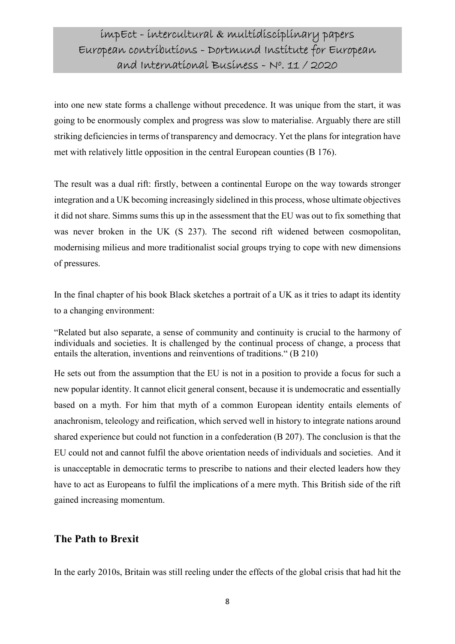into one new state forms a challenge without precedence. It was unique from the start, it was going to be enormously complex and progress was slow to materialise. Arguably there are still striking deficiencies in terms of transparency and democracy. Yet the plans for integration have met with relatively little opposition in the central European counties (B 176).

The result was a dual rift: firstly, between a continental Europe on the way towards stronger integration and a UK becoming increasingly sidelined in this process, whose ultimate objectives it did not share. Simms sums this up in the assessment that the EU was out to fix something that was never broken in the UK (S 237). The second rift widened between cosmopolitan, modernising milieus and more traditionalist social groups trying to cope with new dimensions of pressures.

In the final chapter of his book Black sketches a portrait of a UK as it tries to adapt its identity to a changing environment:

"Related but also separate, a sense of community and continuity is crucial to the harmony of individuals and societies. It is challenged by the continual process of change, a process that entails the alteration, inventions and reinventions of traditions." (B 210)

He sets out from the assumption that the EU is not in a position to provide a focus for such a new popular identity. It cannot elicit general consent, because it is undemocratic and essentially based on a myth. For him that myth of a common European identity entails elements of anachronism, teleology and reification, which served well in history to integrate nations around shared experience but could not function in a confederation (B 207). The conclusion is that the EU could not and cannot fulfil the above orientation needs of individuals and societies. And it is unacceptable in democratic terms to prescribe to nations and their elected leaders how they have to act as Europeans to fulfil the implications of a mere myth. This British side of the rift gained increasing momentum.

#### The Path to Brexit

In the early 2010s, Britain was still reeling under the effects of the global crisis that had hit the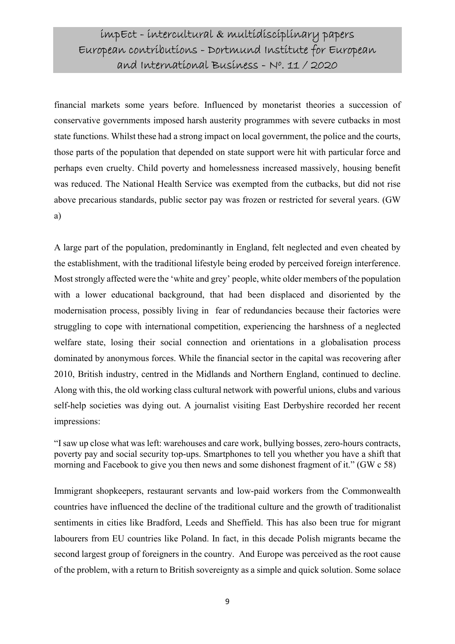financial markets some years before. Influenced by monetarist theories a succession of conservative governments imposed harsh austerity programmes with severe cutbacks in most state functions. Whilst these had a strong impact on local government, the police and the courts, those parts of the population that depended on state support were hit with particular force and perhaps even cruelty. Child poverty and homelessness increased massively, housing benefit was reduced. The National Health Service was exempted from the cutbacks, but did not rise above precarious standards, public sector pay was frozen or restricted for several years. (GW a)

A large part of the population, predominantly in England, felt neglected and even cheated by the establishment, with the traditional lifestyle being eroded by perceived foreign interference. Most strongly affected were the 'white and grey' people, white older members of the population with a lower educational background, that had been displaced and disoriented by the modernisation process, possibly living in fear of redundancies because their factories were struggling to cope with international competition, experiencing the harshness of a neglected welfare state, losing their social connection and orientations in a globalisation process dominated by anonymous forces. While the financial sector in the capital was recovering after 2010, British industry, centred in the Midlands and Northern England, continued to decline. Along with this, the old working class cultural network with powerful unions, clubs and various self-help societies was dying out. A journalist visiting East Derbyshire recorded her recent impressions:

"I saw up close what was left: warehouses and care work, bullying bosses, zero-hours contracts, poverty pay and social security top-ups. Smartphones to tell you whether you have a shift that morning and Facebook to give you then news and some dishonest fragment of it." (GW c 58)

Immigrant shopkeepers, restaurant servants and low-paid workers from the Commonwealth countries have influenced the decline of the traditional culture and the growth of traditionalist sentiments in cities like Bradford, Leeds and Sheffield. This has also been true for migrant labourers from EU countries like Poland. In fact, in this decade Polish migrants became the second largest group of foreigners in the country. And Europe was perceived as the root cause of the problem, with a return to British sovereignty as a simple and quick solution. Some solace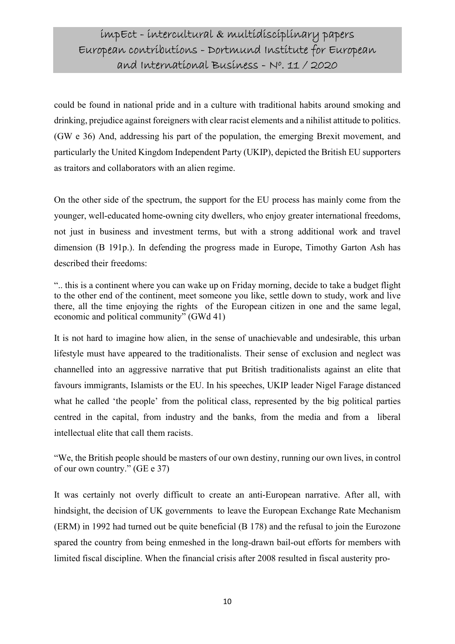could be found in national pride and in a culture with traditional habits around smoking and drinking, prejudice against foreigners with clear racist elements and a nihilist attitude to politics. (GW e 36) And, addressing his part of the population, the emerging Brexit movement, and particularly the United Kingdom Independent Party (UKIP), depicted the British EU supporters as traitors and collaborators with an alien regime.

On the other side of the spectrum, the support for the EU process has mainly come from the younger, well-educated home-owning city dwellers, who enjoy greater international freedoms, not just in business and investment terms, but with a strong additional work and travel dimension (B 191p.). In defending the progress made in Europe, Timothy Garton Ash has described their freedoms:

".. this is a continent where you can wake up on Friday morning, decide to take a budget flight to the other end of the continent, meet someone you like, settle down to study, work and live there, all the time enjoying the rights of the European citizen in one and the same legal, economic and political community" (GWd 41)

It is not hard to imagine how alien, in the sense of unachievable and undesirable, this urban lifestyle must have appeared to the traditionalists. Their sense of exclusion and neglect was channelled into an aggressive narrative that put British traditionalists against an elite that favours immigrants, Islamists or the EU. In his speeches, UKIP leader Nigel Farage distanced what he called 'the people' from the political class, represented by the big political parties centred in the capital, from industry and the banks, from the media and from a liberal intellectual elite that call them racists.

"We, the British people should be masters of our own destiny, running our own lives, in control of our own country." (GE e 37)

It was certainly not overly difficult to create an anti-European narrative. After all, with hindsight, the decision of UK governments to leave the European Exchange Rate Mechanism (ERM) in 1992 had turned out be quite beneficial (B 178) and the refusal to join the Eurozone spared the country from being enmeshed in the long-drawn bail-out efforts for members with limited fiscal discipline. When the financial crisis after 2008 resulted in fiscal austerity pro-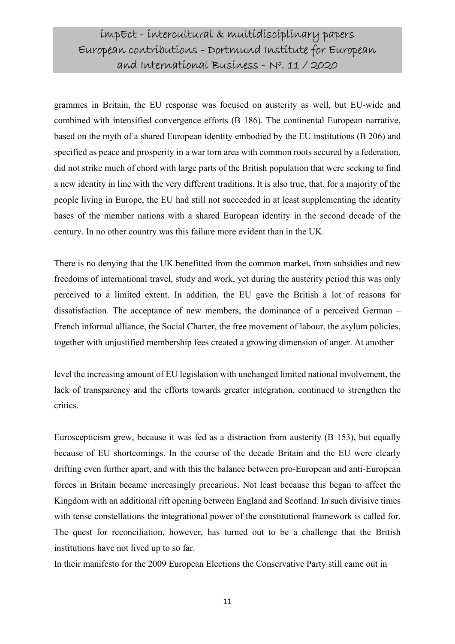grammes in Britain, the EU response was focused on austerity as well, but EU-wide and combined with intensified convergence efforts (B 186). The continental European narrative, based on the myth of a shared European identity embodied by the EU institutions (B 206) and specified as peace and prosperity in a war torn area with common roots secured by a federation, did not strike much of chord with large parts of the British population that were seeking to find a new identity in line with the very different traditions. It is also true, that, for a majority of the people living in Europe, the EU had still not succeeded in at least supplementing the identity bases of the member nations with a shared European identity in the second decade of the century. In no other country was this failure more evident than in the UK.

There is no denying that the UK benefitted from the common market, from subsidies and new freedoms of international travel, study and work, yet during the austerity period this was only perceived to a limited extent. In addition, the EU gave the British a lot of reasons for dissatisfaction. The acceptance of new members, the dominance of a perceived German – French informal alliance, the Social Charter, the free movement of labour, the asylum policies, together with unjustified membership fees created a growing dimension of anger. At another

level the increasing amount of EU legislation with unchanged limited national involvement, the lack of transparency and the efforts towards greater integration, continued to strengthen the critics.

Euroscepticism grew, because it was fed as a distraction from austerity (B 153), but equally because of EU shortcomings. In the course of the decade Britain and the EU were clearly drifting even further apart, and with this the balance between pro-European and anti-European forces in Britain became increasingly precarious. Not least because this began to affect the Kingdom with an additional rift opening between England and Scotland. In such divisive times with tense constellations the integrational power of the constitutional framework is called for. The quest for reconciliation, however, has turned out to be a challenge that the British institutions have not lived up to so far.

In their manifesto for the 2009 European Elections the Conservative Party still came out in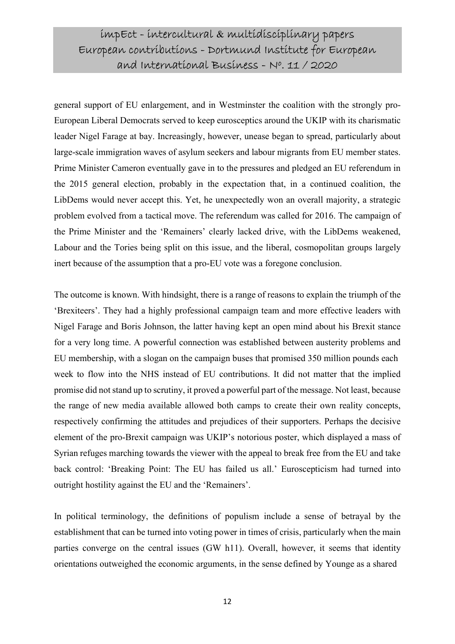general support of EU enlargement, and in Westminster the coalition with the strongly pro-European Liberal Democrats served to keep eurosceptics around the UKIP with its charismatic leader Nigel Farage at bay. Increasingly, however, unease began to spread, particularly about large-scale immigration waves of asylum seekers and labour migrants from EU member states. Prime Minister Cameron eventually gave in to the pressures and pledged an EU referendum in the 2015 general election, probably in the expectation that, in a continued coalition, the LibDems would never accept this. Yet, he unexpectedly won an overall majority, a strategic problem evolved from a tactical move. The referendum was called for 2016. The campaign of the Prime Minister and the 'Remainers' clearly lacked drive, with the LibDems weakened, Labour and the Tories being split on this issue, and the liberal, cosmopolitan groups largely inert because of the assumption that a pro-EU vote was a foregone conclusion.

The outcome is known. With hindsight, there is a range of reasons to explain the triumph of the 'Brexiteers'. They had a highly professional campaign team and more effective leaders with Nigel Farage and Boris Johnson, the latter having kept an open mind about his Brexit stance for a very long time. A powerful connection was established between austerity problems and EU membership, with a slogan on the campaign buses that promised 350 million pounds each week to flow into the NHS instead of EU contributions. It did not matter that the implied promise did not stand up to scrutiny, it proved a powerful part of the message. Not least, because the range of new media available allowed both camps to create their own reality concepts, respectively confirming the attitudes and prejudices of their supporters. Perhaps the decisive element of the pro-Brexit campaign was UKIP's notorious poster, which displayed a mass of Syrian refuges marching towards the viewer with the appeal to break free from the EU and take back control: 'Breaking Point: The EU has failed us all.' Euroscepticism had turned into outright hostility against the EU and the 'Remainers'.

In political terminology, the definitions of populism include a sense of betrayal by the establishment that can be turned into voting power in times of crisis, particularly when the main parties converge on the central issues (GW h11). Overall, however, it seems that identity orientations outweighed the economic arguments, in the sense defined by Younge as a shared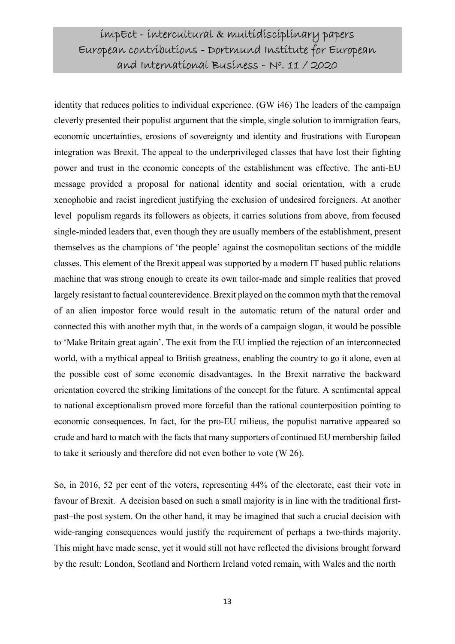identity that reduces politics to individual experience. (GW i46) The leaders of the campaign cleverly presented their populist argument that the simple, single solution to immigration fears, economic uncertainties, erosions of sovereignty and identity and frustrations with European integration was Brexit. The appeal to the underprivileged classes that have lost their fighting power and trust in the economic concepts of the establishment was effective. The anti-EU message provided a proposal for national identity and social orientation, with a crude xenophobic and racist ingredient justifying the exclusion of undesired foreigners. At another level populism regards its followers as objects, it carries solutions from above, from focused single-minded leaders that, even though they are usually members of the establishment, present themselves as the champions of 'the people' against the cosmopolitan sections of the middle classes. This element of the Brexit appeal was supported by a modern IT based public relations machine that was strong enough to create its own tailor-made and simple realities that proved largely resistant to factual counterevidence. Brexit played on the common myth that the removal of an alien impostor force would result in the automatic return of the natural order and connected this with another myth that, in the words of a campaign slogan, it would be possible to 'Make Britain great again'. The exit from the EU implied the rejection of an interconnected world, with a mythical appeal to British greatness, enabling the country to go it alone, even at the possible cost of some economic disadvantages. In the Brexit narrative the backward orientation covered the striking limitations of the concept for the future. A sentimental appeal to national exceptionalism proved more forceful than the rational counterposition pointing to economic consequences. In fact, for the pro-EU milieus, the populist narrative appeared so crude and hard to match with the facts that many supporters of continued EU membership failed to take it seriously and therefore did not even bother to vote (W 26).

So, in 2016, 52 per cent of the voters, representing 44% of the electorate, cast their vote in favour of Brexit. A decision based on such a small majority is in line with the traditional firstpast–the post system. On the other hand, it may be imagined that such a crucial decision with wide-ranging consequences would justify the requirement of perhaps a two-thirds majority. This might have made sense, yet it would still not have reflected the divisions brought forward by the result: London, Scotland and Northern Ireland voted remain, with Wales and the north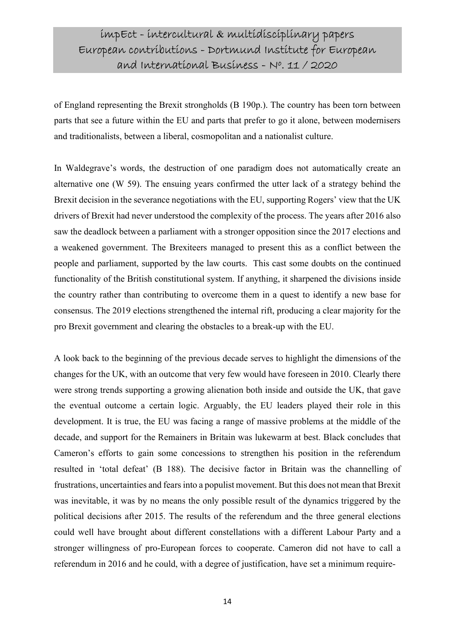of England representing the Brexit strongholds (B 190p.). The country has been torn between parts that see a future within the EU and parts that prefer to go it alone, between modernisers and traditionalists, between a liberal, cosmopolitan and a nationalist culture.

In Waldegrave's words, the destruction of one paradigm does not automatically create an alternative one (W 59). The ensuing years confirmed the utter lack of a strategy behind the Brexit decision in the severance negotiations with the EU, supporting Rogers' view that the UK drivers of Brexit had never understood the complexity of the process. The years after 2016 also saw the deadlock between a parliament with a stronger opposition since the 2017 elections and a weakened government. The Brexiteers managed to present this as a conflict between the people and parliament, supported by the law courts. This cast some doubts on the continued functionality of the British constitutional system. If anything, it sharpened the divisions inside the country rather than contributing to overcome them in a quest to identify a new base for consensus. The 2019 elections strengthened the internal rift, producing a clear majority for the pro Brexit government and clearing the obstacles to a break-up with the EU.

A look back to the beginning of the previous decade serves to highlight the dimensions of the changes for the UK, with an outcome that very few would have foreseen in 2010. Clearly there were strong trends supporting a growing alienation both inside and outside the UK, that gave the eventual outcome a certain logic. Arguably, the EU leaders played their role in this development. It is true, the EU was facing a range of massive problems at the middle of the decade, and support for the Remainers in Britain was lukewarm at best. Black concludes that Cameron's efforts to gain some concessions to strengthen his position in the referendum resulted in 'total defeat' (B 188). The decisive factor in Britain was the channelling of frustrations, uncertainties and fears into a populist movement. But this does not mean that Brexit was inevitable, it was by no means the only possible result of the dynamics triggered by the political decisions after 2015. The results of the referendum and the three general elections could well have brought about different constellations with a different Labour Party and a stronger willingness of pro-European forces to cooperate. Cameron did not have to call a referendum in 2016 and he could, with a degree of justification, have set a minimum require-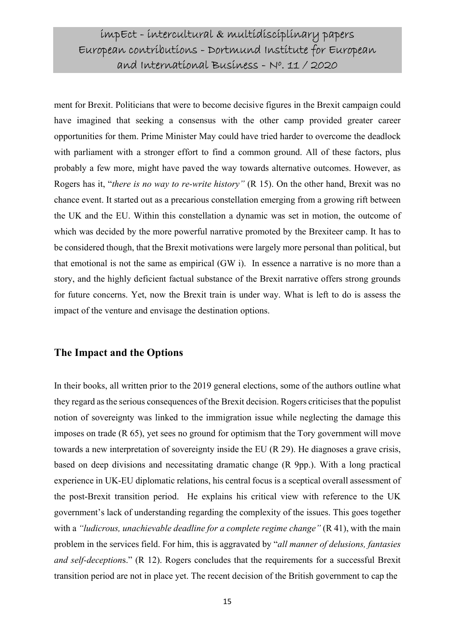ment for Brexit. Politicians that were to become decisive figures in the Brexit campaign could have imagined that seeking a consensus with the other camp provided greater career opportunities for them. Prime Minister May could have tried harder to overcome the deadlock with parliament with a stronger effort to find a common ground. All of these factors, plus probably a few more, might have paved the way towards alternative outcomes. However, as Rogers has it, "there is no way to re-write history" (R 15). On the other hand, Brexit was no chance event. It started out as a precarious constellation emerging from a growing rift between the UK and the EU. Within this constellation a dynamic was set in motion, the outcome of which was decided by the more powerful narrative promoted by the Brexiteer camp. It has to be considered though, that the Brexit motivations were largely more personal than political, but that emotional is not the same as empirical (GW i). In essence a narrative is no more than a story, and the highly deficient factual substance of the Brexit narrative offers strong grounds for future concerns. Yet, now the Brexit train is under way. What is left to do is assess the impact of the venture and envisage the destination options.

#### The Impact and the Options

In their books, all written prior to the 2019 general elections, some of the authors outline what they regard as the serious consequences of the Brexit decision. Rogers criticises that the populist notion of sovereignty was linked to the immigration issue while neglecting the damage this imposes on trade (R 65), yet sees no ground for optimism that the Tory government will move towards a new interpretation of sovereignty inside the EU (R 29). He diagnoses a grave crisis, based on deep divisions and necessitating dramatic change (R 9pp.). With a long practical experience in UK-EU diplomatic relations, his central focus is a sceptical overall assessment of the post-Brexit transition period. He explains his critical view with reference to the UK government's lack of understanding regarding the complexity of the issues. This goes together with a "ludicrous, unachievable deadline for a complete regime change"  $(R 41)$ , with the main problem in the services field. For him, this is aggravated by "all manner of delusions, fantasies and self-deceptions." (R 12). Rogers concludes that the requirements for a successful Brexit transition period are not in place yet. The recent decision of the British government to cap the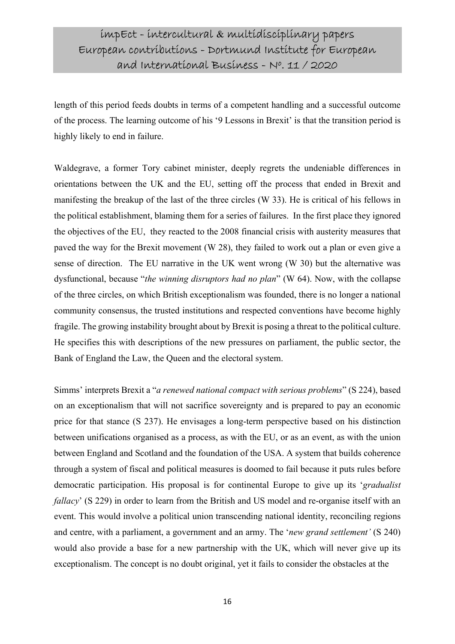length of this period feeds doubts in terms of a competent handling and a successful outcome of the process. The learning outcome of his '9 Lessons in Brexit' is that the transition period is highly likely to end in failure.

Waldegrave, a former Tory cabinet minister, deeply regrets the undeniable differences in orientations between the UK and the EU, setting off the process that ended in Brexit and manifesting the breakup of the last of the three circles (W 33). He is critical of his fellows in the political establishment, blaming them for a series of failures. In the first place they ignored the objectives of the EU, they reacted to the 2008 financial crisis with austerity measures that paved the way for the Brexit movement (W 28), they failed to work out a plan or even give a sense of direction. The EU narrative in the UK went wrong (W 30) but the alternative was dysfunctional, because "the winning disruptors had no plan" (W  $64$ ). Now, with the collapse of the three circles, on which British exceptionalism was founded, there is no longer a national community consensus, the trusted institutions and respected conventions have become highly fragile. The growing instability brought about by Brexit is posing a threat to the political culture. He specifies this with descriptions of the new pressures on parliament, the public sector, the Bank of England the Law, the Queen and the electoral system.

Simms' interprets Brexit a "a renewed national compact with serious problems" (S 224), based on an exceptionalism that will not sacrifice sovereignty and is prepared to pay an economic price for that stance (S 237). He envisages a long-term perspective based on his distinction between unifications organised as a process, as with the EU, or as an event, as with the union between England and Scotland and the foundation of the USA. A system that builds coherence through a system of fiscal and political measures is doomed to fail because it puts rules before democratic participation. His proposal is for continental Europe to give up its *'gradualist* fallacy' (S 229) in order to learn from the British and US model and re-organise itself with an event. This would involve a political union transcending national identity, reconciling regions and centre, with a parliament, a government and an army. The 'new grand settlement' (S 240) would also provide a base for a new partnership with the UK, which will never give up its exceptionalism. The concept is no doubt original, yet it fails to consider the obstacles at the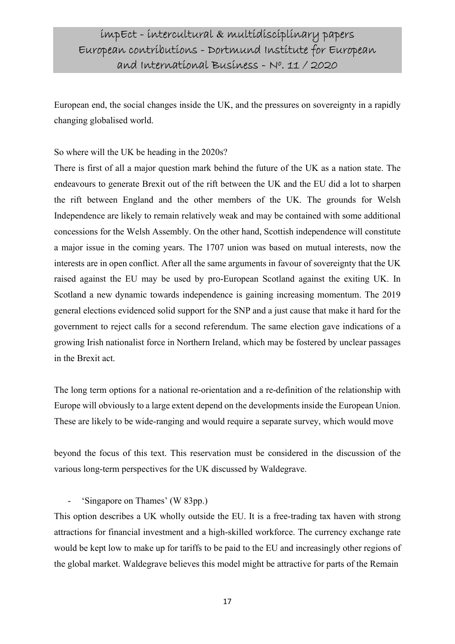European end, the social changes inside the UK, and the pressures on sovereignty in a rapidly changing globalised world.

So where will the UK be heading in the 2020s?

There is first of all a major question mark behind the future of the UK as a nation state. The endeavours to generate Brexit out of the rift between the UK and the EU did a lot to sharpen the rift between England and the other members of the UK. The grounds for Welsh Independence are likely to remain relatively weak and may be contained with some additional concessions for the Welsh Assembly. On the other hand, Scottish independence will constitute a major issue in the coming years. The 1707 union was based on mutual interests, now the interests are in open conflict. After all the same arguments in favour of sovereignty that the UK raised against the EU may be used by pro-European Scotland against the exiting UK. In Scotland a new dynamic towards independence is gaining increasing momentum. The 2019 general elections evidenced solid support for the SNP and a just cause that make it hard for the government to reject calls for a second referendum. The same election gave indications of a growing Irish nationalist force in Northern Ireland, which may be fostered by unclear passages in the Brexit act.

The long term options for a national re-orientation and a re-definition of the relationship with Europe will obviously to a large extent depend on the developments inside the European Union. These are likely to be wide-ranging and would require a separate survey, which would move

beyond the focus of this text. This reservation must be considered in the discussion of the various long-term perspectives for the UK discussed by Waldegrave.

- 'Singapore on Thames' (W 83pp.)

This option describes a UK wholly outside the EU. It is a free-trading tax haven with strong attractions for financial investment and a high-skilled workforce. The currency exchange rate would be kept low to make up for tariffs to be paid to the EU and increasingly other regions of the global market. Waldegrave believes this model might be attractive for parts of the Remain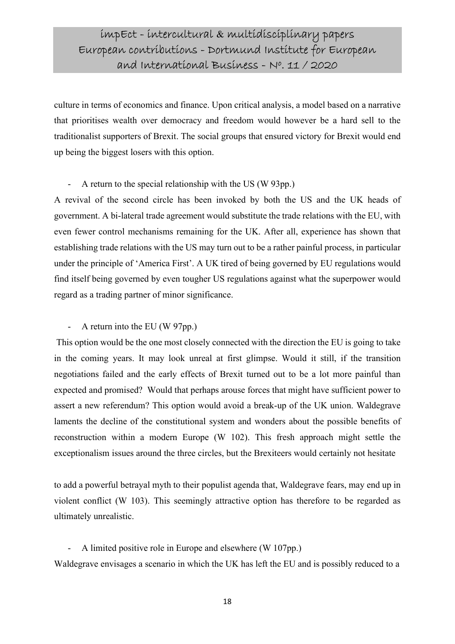culture in terms of economics and finance. Upon critical analysis, a model based on a narrative that prioritises wealth over democracy and freedom would however be a hard sell to the traditionalist supporters of Brexit. The social groups that ensured victory for Brexit would end up being the biggest losers with this option.

#### - A return to the special relationship with the US (W 93pp.)

A revival of the second circle has been invoked by both the US and the UK heads of government. A bi-lateral trade agreement would substitute the trade relations with the EU, with even fewer control mechanisms remaining for the UK. After all, experience has shown that establishing trade relations with the US may turn out to be a rather painful process, in particular under the principle of 'America First'. A UK tired of being governed by EU regulations would find itself being governed by even tougher US regulations against what the superpower would regard as a trading partner of minor significance.

#### - A return into the EU (W 97pp.)

 This option would be the one most closely connected with the direction the EU is going to take in the coming years. It may look unreal at first glimpse. Would it still, if the transition negotiations failed and the early effects of Brexit turned out to be a lot more painful than expected and promised? Would that perhaps arouse forces that might have sufficient power to assert a new referendum? This option would avoid a break-up of the UK union. Waldegrave laments the decline of the constitutional system and wonders about the possible benefits of reconstruction within a modern Europe (W 102). This fresh approach might settle the exceptionalism issues around the three circles, but the Brexiteers would certainly not hesitate

to add a powerful betrayal myth to their populist agenda that, Waldegrave fears, may end up in violent conflict (W 103). This seemingly attractive option has therefore to be regarded as ultimately unrealistic.

A limited positive role in Europe and elsewhere (W 107pp.) Waldegrave envisages a scenario in which the UK has left the EU and is possibly reduced to a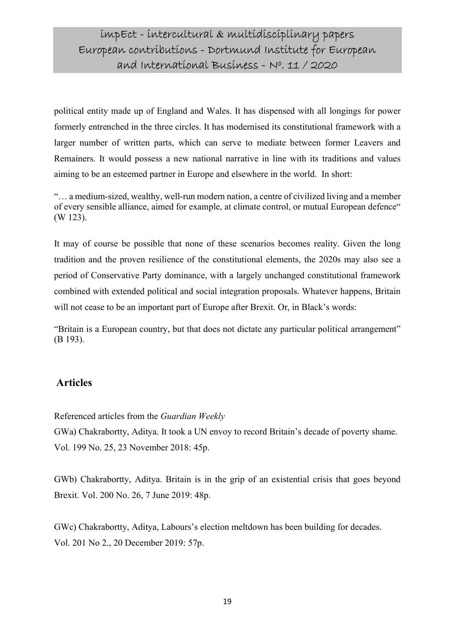political entity made up of England and Wales. It has dispensed with all longings for power formerly entrenched in the three circles. It has modernised its constitutional framework with a larger number of written parts, which can serve to mediate between former Leavers and Remainers. It would possess a new national narrative in line with its traditions and values aiming to be an esteemed partner in Europe and elsewhere in the world. In short:

"… a medium-sized, wealthy, well-run modern nation, a centre of civilized living and a member of every sensible alliance, aimed for example, at climate control, or mutual European defence" (W 123).

It may of course be possible that none of these scenarios becomes reality. Given the long tradition and the proven resilience of the constitutional elements, the 2020s may also see a period of Conservative Party dominance, with a largely unchanged constitutional framework combined with extended political and social integration proposals. Whatever happens, Britain will not cease to be an important part of Europe after Brexit. Or, in Black's words:

"Britain is a European country, but that does not dictate any particular political arrangement" (B 193).

#### Articles

Referenced articles from the Guardian Weekly

GWa) Chakrabortty, Aditya. It took a UN envoy to record Britain's decade of poverty shame. Vol. 199 No. 25, 23 November 2018: 45p.

GWb) Chakrabortty, Aditya. Britain is in the grip of an existential crisis that goes beyond Brexit. Vol. 200 No. 26, 7 June 2019: 48p.

GWc) Chakrabortty, Aditya, Labours's election meltdown has been building for decades. Vol. 201 No 2., 20 December 2019: 57p.